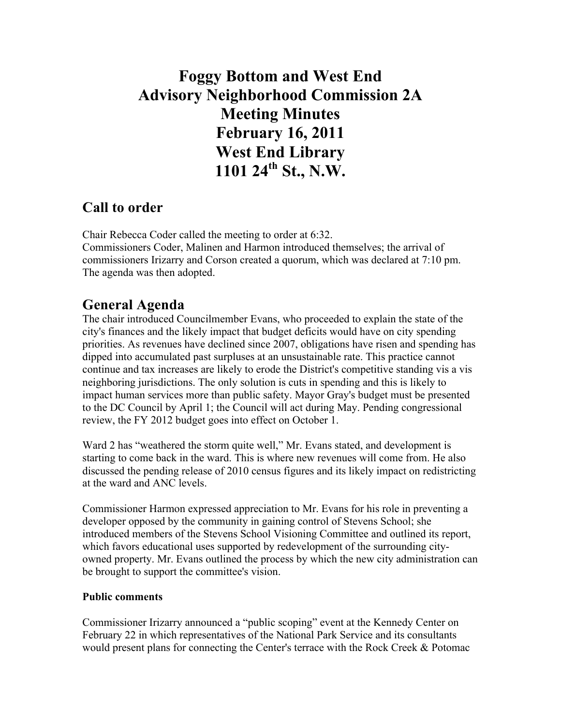# **Foggy Bottom and West End Advisory Neighborhood Commission 2A Meeting Minutes February 16, 2011 West End Library 1101 24th St., N.W.**

# **Call to order**

Chair Rebecca Coder called the meeting to order at 6:32. Commissioners Coder, Malinen and Harmon introduced themselves; the arrival of commissioners Irizarry and Corson created a quorum, which was declared at 7:10 pm. The agenda was then adopted.

## **General Agenda**

The chair introduced Councilmember Evans, who proceeded to explain the state of the city's finances and the likely impact that budget deficits would have on city spending priorities. As revenues have declined since 2007, obligations have risen and spending has dipped into accumulated past surpluses at an unsustainable rate. This practice cannot continue and tax increases are likely to erode the District's competitive standing vis a vis neighboring jurisdictions. The only solution is cuts in spending and this is likely to impact human services more than public safety. Mayor Gray's budget must be presented to the DC Council by April 1; the Council will act during May. Pending congressional review, the FY 2012 budget goes into effect on October 1.

Ward 2 has "weathered the storm quite well," Mr. Evans stated, and development is starting to come back in the ward. This is where new revenues will come from. He also discussed the pending release of 2010 census figures and its likely impact on redistricting at the ward and ANC levels.

Commissioner Harmon expressed appreciation to Mr. Evans for his role in preventing a developer opposed by the community in gaining control of Stevens School; she introduced members of the Stevens School Visioning Committee and outlined its report, which favors educational uses supported by redevelopment of the surrounding cityowned property. Mr. Evans outlined the process by which the new city administration can be brought to support the committee's vision.

## **Public comments**

Commissioner Irizarry announced a "public scoping" event at the Kennedy Center on February 22 in which representatives of the National Park Service and its consultants would present plans for connecting the Center's terrace with the Rock Creek & Potomac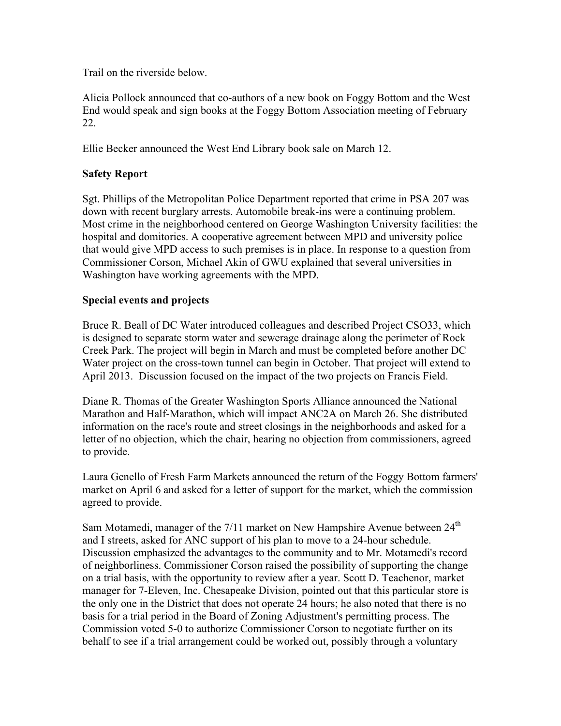Trail on the riverside below.

Alicia Pollock announced that co-authors of a new book on Foggy Bottom and the West End would speak and sign books at the Foggy Bottom Association meeting of February 22.

Ellie Becker announced the West End Library book sale on March 12.

## **Safety Report**

Sgt. Phillips of the Metropolitan Police Department reported that crime in PSA 207 was down with recent burglary arrests. Automobile break-ins were a continuing problem. Most crime in the neighborhood centered on George Washington University facilities: the hospital and domitories. A cooperative agreement between MPD and university police that would give MPD access to such premises is in place. In response to a question from Commissioner Corson, Michael Akin of GWU explained that several universities in Washington have working agreements with the MPD.

### **Special events and projects**

Bruce R. Beall of DC Water introduced colleagues and described Project CSO33, which is designed to separate storm water and sewerage drainage along the perimeter of Rock Creek Park. The project will begin in March and must be completed before another DC Water project on the cross-town tunnel can begin in October. That project will extend to April 2013. Discussion focused on the impact of the two projects on Francis Field.

Diane R. Thomas of the Greater Washington Sports Alliance announced the National Marathon and Half-Marathon, which will impact ANC2A on March 26. She distributed information on the race's route and street closings in the neighborhoods and asked for a letter of no objection, which the chair, hearing no objection from commissioners, agreed to provide.

Laura Genello of Fresh Farm Markets announced the return of the Foggy Bottom farmers' market on April 6 and asked for a letter of support for the market, which the commission agreed to provide.

Sam Motamedi, manager of the  $7/11$  market on New Hampshire Avenue between  $24<sup>th</sup>$ and I streets, asked for ANC support of his plan to move to a 24-hour schedule. Discussion emphasized the advantages to the community and to Mr. Motamedi's record of neighborliness. Commissioner Corson raised the possibility of supporting the change on a trial basis, with the opportunity to review after a year. Scott D. Teachenor, market manager for 7-Eleven, Inc. Chesapeake Division, pointed out that this particular store is the only one in the District that does not operate 24 hours; he also noted that there is no basis for a trial period in the Board of Zoning Adjustment's permitting process. The Commission voted 5-0 to authorize Commissioner Corson to negotiate further on its behalf to see if a trial arrangement could be worked out, possibly through a voluntary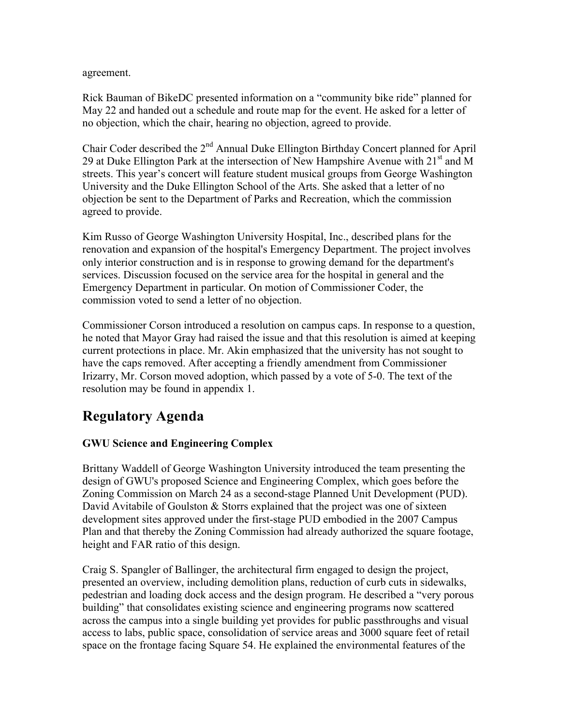agreement.

Rick Bauman of BikeDC presented information on a "community bike ride" planned for May 22 and handed out a schedule and route map for the event. He asked for a letter of no objection, which the chair, hearing no objection, agreed to provide.

Chair Coder described the 2nd Annual Duke Ellington Birthday Concert planned for April 29 at Duke Ellington Park at the intersection of New Hampshire Avenue with  $21<sup>st</sup>$  and M streets. This year's concert will feature student musical groups from George Washington University and the Duke Ellington School of the Arts. She asked that a letter of no objection be sent to the Department of Parks and Recreation, which the commission agreed to provide.

Kim Russo of George Washington University Hospital, Inc., described plans for the renovation and expansion of the hospital's Emergency Department. The project involves only interior construction and is in response to growing demand for the department's services. Discussion focused on the service area for the hospital in general and the Emergency Department in particular. On motion of Commissioner Coder, the commission voted to send a letter of no objection.

Commissioner Corson introduced a resolution on campus caps. In response to a question, he noted that Mayor Gray had raised the issue and that this resolution is aimed at keeping current protections in place. Mr. Akin emphasized that the university has not sought to have the caps removed. After accepting a friendly amendment from Commissioner Irizarry, Mr. Corson moved adoption, which passed by a vote of 5-0. The text of the resolution may be found in appendix 1.

# **Regulatory Agenda**

## **GWU Science and Engineering Complex**

Brittany Waddell of George Washington University introduced the team presenting the design of GWU's proposed Science and Engineering Complex, which goes before the Zoning Commission on March 24 as a second-stage Planned Unit Development (PUD). David Avitabile of Goulston & Storrs explained that the project was one of sixteen development sites approved under the first-stage PUD embodied in the 2007 Campus Plan and that thereby the Zoning Commission had already authorized the square footage, height and FAR ratio of this design.

Craig S. Spangler of Ballinger, the architectural firm engaged to design the project, presented an overview, including demolition plans, reduction of curb cuts in sidewalks, pedestrian and loading dock access and the design program. He described a "very porous building" that consolidates existing science and engineering programs now scattered across the campus into a single building yet provides for public passthroughs and visual access to labs, public space, consolidation of service areas and 3000 square feet of retail space on the frontage facing Square 54. He explained the environmental features of the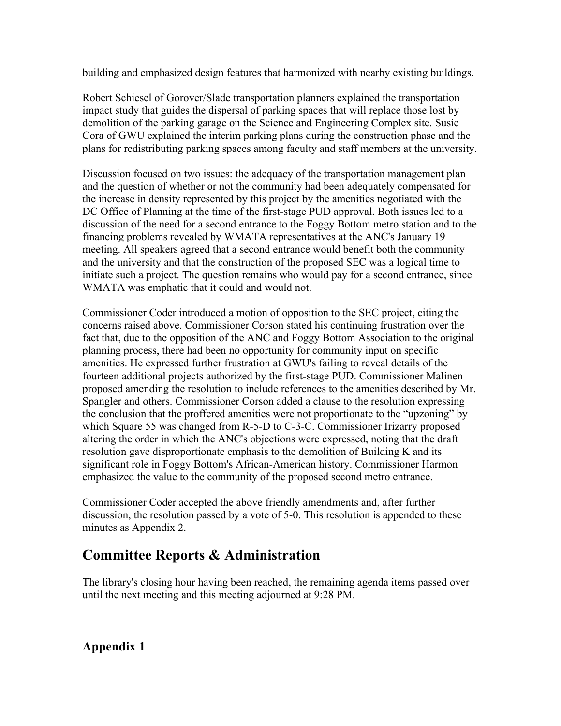building and emphasized design features that harmonized with nearby existing buildings.

Robert Schiesel of Gorover/Slade transportation planners explained the transportation impact study that guides the dispersal of parking spaces that will replace those lost by demolition of the parking garage on the Science and Engineering Complex site. Susie Cora of GWU explained the interim parking plans during the construction phase and the plans for redistributing parking spaces among faculty and staff members at the university.

Discussion focused on two issues: the adequacy of the transportation management plan and the question of whether or not the community had been adequately compensated for the increase in density represented by this project by the amenities negotiated with the DC Office of Planning at the time of the first-stage PUD approval. Both issues led to a discussion of the need for a second entrance to the Foggy Bottom metro station and to the financing problems revealed by WMATA representatives at the ANC's January 19 meeting. All speakers agreed that a second entrance would benefit both the community and the university and that the construction of the proposed SEC was a logical time to initiate such a project. The question remains who would pay for a second entrance, since WMATA was emphatic that it could and would not.

Commissioner Coder introduced a motion of opposition to the SEC project, citing the concerns raised above. Commissioner Corson stated his continuing frustration over the fact that, due to the opposition of the ANC and Foggy Bottom Association to the original planning process, there had been no opportunity for community input on specific amenities. He expressed further frustration at GWU's failing to reveal details of the fourteen additional projects authorized by the first-stage PUD. Commissioner Malinen proposed amending the resolution to include references to the amenities described by Mr. Spangler and others. Commissioner Corson added a clause to the resolution expressing the conclusion that the proffered amenities were not proportionate to the "upzoning" by which Square 55 was changed from R-5-D to C-3-C. Commissioner Irizarry proposed altering the order in which the ANC's objections were expressed, noting that the draft resolution gave disproportionate emphasis to the demolition of Building K and its significant role in Foggy Bottom's African-American history. Commissioner Harmon emphasized the value to the community of the proposed second metro entrance.

Commissioner Coder accepted the above friendly amendments and, after further discussion, the resolution passed by a vote of 5-0. This resolution is appended to these minutes as Appendix 2.

# **Committee Reports & Administration**

The library's closing hour having been reached, the remaining agenda items passed over until the next meeting and this meeting adjourned at 9:28 PM.

**Appendix 1**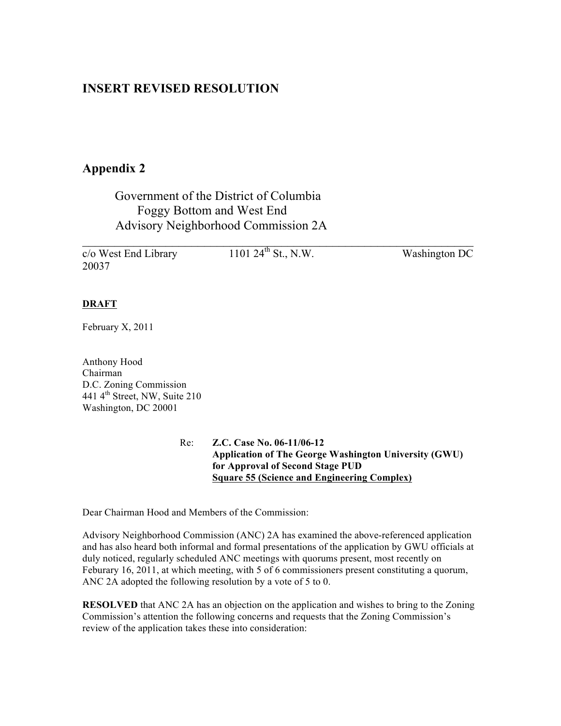## **INSERT REVISED RESOLUTION**

## **Appendix 2**

## Government of the District of Columbia Foggy Bottom and West End Advisory Neighborhood Commission 2A

 $\mathcal{L}_\text{max}$  , and the contract of the contract of the contract of the contract of the contract of the contract of the contract of the contract of the contract of the contract of the contract of the contract of the contr  $\overline{c}/\overline{o}$  West End Library 1101 24<sup>th</sup> St., N.W. Washington DC 20037

### **DRAFT**

February X, 2011

Anthony Hood Chairman D.C. Zoning Commission 441  $4<sup>th</sup>$  Street, NW, Suite 210 Washington, DC 20001

> Re: **Z.C. Case No. 06-11/06-12 Application of The George Washington University (GWU) for Approval of Second Stage PUD Square 55 (Science and Engineering Complex)**

Dear Chairman Hood and Members of the Commission:

Advisory Neighborhood Commission (ANC) 2A has examined the above-referenced application and has also heard both informal and formal presentations of the application by GWU officials at duly noticed, regularly scheduled ANC meetings with quorums present, most recently on Feburary 16, 2011, at which meeting, with 5 of 6 commissioners present constituting a quorum, ANC 2A adopted the following resolution by a vote of 5 to 0.

**RESOLVED** that ANC 2A has an objection on the application and wishes to bring to the Zoning Commission's attention the following concerns and requests that the Zoning Commission's review of the application takes these into consideration: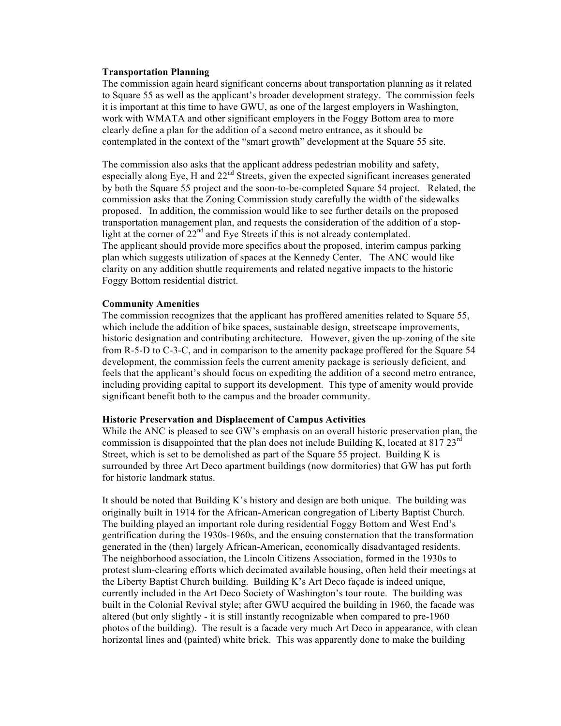#### **Transportation Planning**

The commission again heard significant concerns about transportation planning as it related to Square 55 as well as the applicant's broader development strategy. The commission feels it is important at this time to have GWU, as one of the largest employers in Washington, work with WMATA and other significant employers in the Foggy Bottom area to more clearly define a plan for the addition of a second metro entrance, as it should be contemplated in the context of the "smart growth" development at the Square 55 site.

The commission also asks that the applicant address pedestrian mobility and safety, especially along Eye, H and  $22<sup>nd</sup>$  Streets, given the expected significant increases generated by both the Square 55 project and the soon-to-be-completed Square 54 project. Related, the commission asks that the Zoning Commission study carefully the width of the sidewalks proposed. In addition, the commission would like to see further details on the proposed transportation management plan, and requests the consideration of the addition of a stoplight at the corner of  $22<sup>nd</sup>$  and Eye Streets if this is not already contemplated. The applicant should provide more specifics about the proposed, interim campus parking plan which suggests utilization of spaces at the Kennedy Center. The ANC would like clarity on any addition shuttle requirements and related negative impacts to the historic Foggy Bottom residential district.

### **Community Amenities**

The commission recognizes that the applicant has proffered amenities related to Square 55, which include the addition of bike spaces, sustainable design, streetscape improvements, historic designation and contributing architecture. However, given the up-zoning of the site from R-5-D to C-3-C, and in comparison to the amenity package proffered for the Square 54 development, the commission feels the current amenity package is seriously deficient, and feels that the applicant's should focus on expediting the addition of a second metro entrance, including providing capital to support its development. This type of amenity would provide significant benefit both to the campus and the broader community.

#### **Historic Preservation and Displacement of Campus Activities**

While the ANC is pleased to see GW's emphasis on an overall historic preservation plan, the commission is disappointed that the plan does not include Building K, located at  $817.23<sup>rd</sup>$ Street, which is set to be demolished as part of the Square 55 project. Building K is surrounded by three Art Deco apartment buildings (now dormitories) that GW has put forth for historic landmark status.

It should be noted that Building K's history and design are both unique. The building was originally built in 1914 for the African-American congregation of Liberty Baptist Church. The building played an important role during residential Foggy Bottom and West End's gentrification during the 1930s-1960s, and the ensuing consternation that the transformation generated in the (then) largely African-American, economically disadvantaged residents. The neighborhood association, the Lincoln Citizens Association, formed in the 1930s to protest slum-clearing efforts which decimated available housing, often held their meetings at the Liberty Baptist Church building. Building K's Art Deco façade is indeed unique, currently included in the Art Deco Society of Washington's tour route. The building was built in the Colonial Revival style; after GWU acquired the building in 1960, the facade was altered (but only slightly - it is still instantly recognizable when compared to pre-1960 photos of the building). The result is a facade very much Art Deco in appearance, with clean horizontal lines and (painted) white brick. This was apparently done to make the building